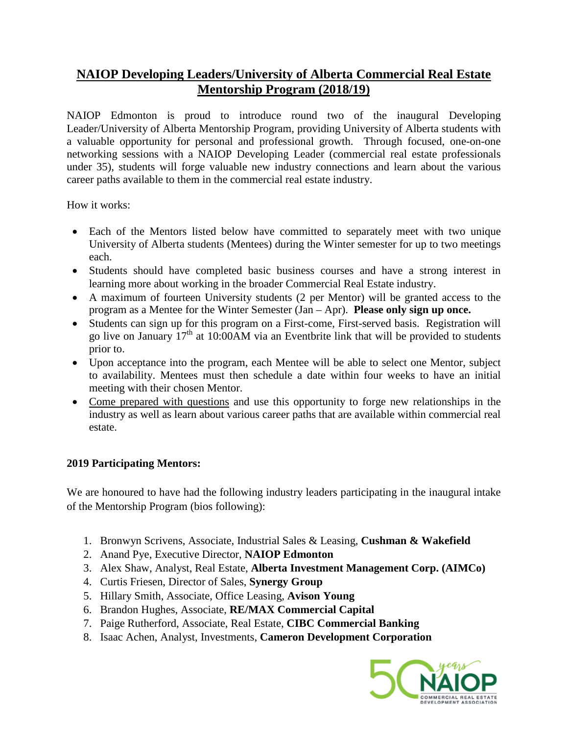## **NAIOP Developing Leaders/University of Alberta Commercial Real Estate Mentorship Program (2018/19)**

NAIOP Edmonton is proud to introduce round two of the inaugural Developing Leader/University of Alberta Mentorship Program, providing University of Alberta students with a valuable opportunity for personal and professional growth. Through focused, one-on-one networking sessions with a NAIOP Developing Leader (commercial real estate professionals under 35), students will forge valuable new industry connections and learn about the various career paths available to them in the commercial real estate industry.

How it works:

- Each of the Mentors listed below have committed to separately meet with two unique University of Alberta students (Mentees) during the Winter semester for up to two meetings each.
- Students should have completed basic business courses and have a strong interest in learning more about working in the broader Commercial Real Estate industry.
- A maximum of fourteen University students (2 per Mentor) will be granted access to the program as a Mentee for the Winter Semester (Jan – Apr). **Please only sign up once.**
- Students can sign up for this program on a First-come, First-served basis. Registration will go live on January  $17<sup>th</sup>$  at 10:00AM via an Eventbrite link that will be provided to students prior to.
- Upon acceptance into the program, each Mentee will be able to select one Mentor, subject to availability. Mentees must then schedule a date within four weeks to have an initial meeting with their chosen Mentor.
- Come prepared with questions and use this opportunity to forge new relationships in the industry as well as learn about various career paths that are available within commercial real estate.

#### **2019 Participating Mentors:**

We are honoured to have had the following industry leaders participating in the inaugural intake of the Mentorship Program (bios following):

- 1. Bronwyn Scrivens, Associate, Industrial Sales & Leasing, **Cushman & Wakefield**
- 2. Anand Pye, Executive Director, **NAIOP Edmonton**
- 3. Alex Shaw, Analyst, Real Estate, **Alberta Investment Management Corp. (AIMCo)**
- 4. Curtis Friesen, Director of Sales, **Synergy Group**
- 5. Hillary Smith, Associate, Office Leasing, **Avison Young**
- 6. Brandon Hughes, Associate, **RE/MAX Commercial Capital**
- 7. Paige Rutherford, Associate, Real Estate, **CIBC Commercial Banking**
- 8. Isaac Achen, Analyst, Investments, **Cameron Development Corporation**

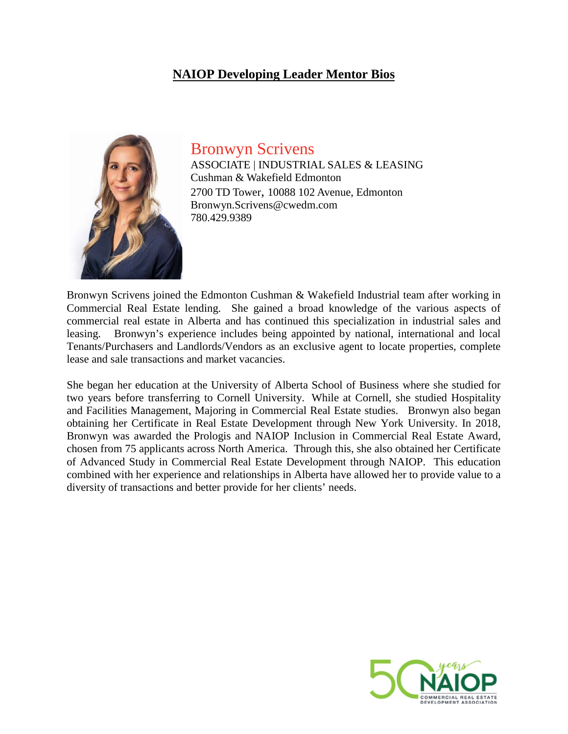### **NAIOP Developing Leader Mentor Bios**



Bronwyn Scrivens ASSOCIATE | INDUSTRIAL SALES & LEASING Cushman & Wakefield Edmonton

2700 TD Tower, 10088 102 Avenue, Edmonton Bronwyn.Scrivens@cwedm.com 780.429.9389

Bronwyn Scrivens joined the Edmonton Cushman & Wakefield Industrial team after working in Commercial Real Estate lending. She gained a broad knowledge of the various aspects of commercial real estate in Alberta and has continued this specialization in industrial sales and leasing. Bronwyn's experience includes being appointed by national, international and local Tenants/Purchasers and Landlords/Vendors as an exclusive agent to locate properties, complete lease and sale transactions and market vacancies.

She began her education at the University of Alberta School of Business where she studied for two years before transferring to Cornell University. While at Cornell, she studied Hospitality and Facilities Management, Majoring in Commercial Real Estate studies. Bronwyn also began obtaining her Certificate in Real Estate Development through New York University. In 2018, Bronwyn was awarded the Prologis and NAIOP Inclusion in Commercial Real Estate Award, chosen from 75 applicants across North America. Through this, she also obtained her Certificate of Advanced Study in Commercial Real Estate Development through NAIOP. This education combined with her experience and relationships in Alberta have allowed her to provide value to a diversity of transactions and better provide for her clients' needs.

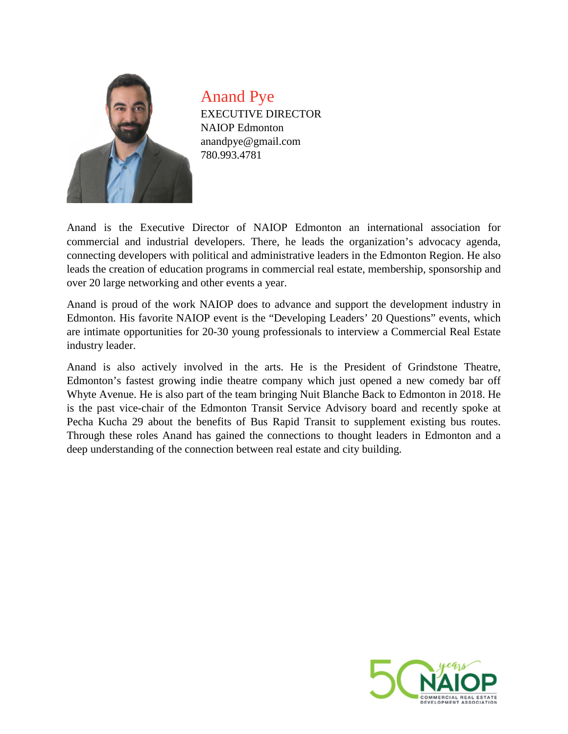

Anand Pye EXECUTIVE DIRECTOR NAIOP Edmonton anandpye@gmail.com 780.993.4781

Anand is the Executive Director of NAIOP Edmonton an international association for commercial and industrial developers. There, he leads the organization's advocacy agenda, connecting developers with political and administrative leaders in the Edmonton Region. He also leads the creation of education programs in commercial real estate, membership, sponsorship and over 20 large networking and other events a year.

Anand is proud of the work NAIOP does to advance and support the development industry in Edmonton. His favorite NAIOP event is the "Developing Leaders' 20 Questions" events, which are intimate opportunities for 20-30 young professionals to interview a Commercial Real Estate industry leader.

Anand is also actively involved in the arts. He is the President of Grindstone Theatre, Edmonton's fastest growing indie theatre company which just opened a new comedy bar off Whyte Avenue. He is also part of the team bringing Nuit Blanche Back to Edmonton in 2018. He is the past vice-chair of the Edmonton Transit Service Advisory board and recently spoke at Pecha Kucha 29 about the benefits of Bus Rapid Transit to supplement existing bus routes. Through these roles Anand has gained the connections to thought leaders in Edmonton and a deep understanding of the connection between real estate and city building.

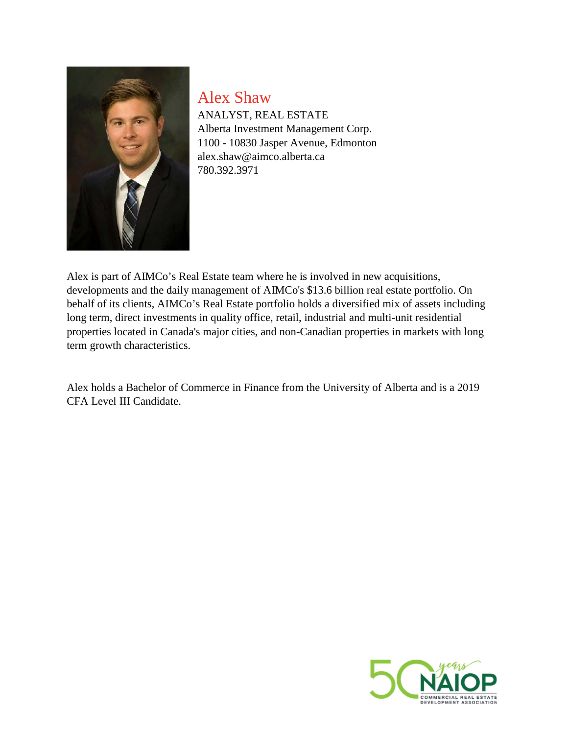

Alex Shaw ANALYST, REAL ESTATE Alberta Investment Management Corp. 1100 - 10830 Jasper Avenue, Edmonton alex.shaw@aimco.alberta.ca 780.392.3971

Alex is part of AIMCo's Real Estate team where he is involved in new acquisitions, developments and the daily management of AIMCo's \$13.6 billion real estate portfolio. On behalf of its clients, AIMCo's Real Estate portfolio holds a diversified mix of assets including long term, direct investments in quality office, retail, industrial and multi-unit residential properties located in Canada's major cities, and non-Canadian properties in markets with long term growth characteristics.

Alex holds a Bachelor of Commerce in Finance from the University of Alberta and is a 2019 CFA Level III Candidate.

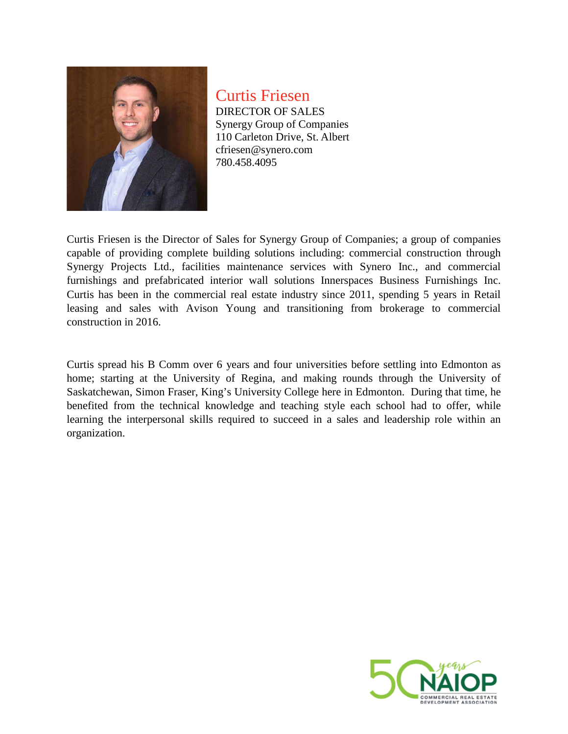

Curtis Friesen DIRECTOR OF SALES Synergy Group of Companies 110 Carleton Drive, St. Albert cfriesen@synero.com 780.458.4095

Curtis Friesen is the Director of Sales for Synergy Group of Companies; a group of companies capable of providing complete building solutions including: commercial construction through Synergy Projects Ltd., facilities maintenance services with Synero Inc., and commercial furnishings and prefabricated interior wall solutions Innerspaces Business Furnishings Inc. Curtis has been in the commercial real estate industry since 2011, spending 5 years in Retail leasing and sales with Avison Young and transitioning from brokerage to commercial construction in 2016.

Curtis spread his B Comm over 6 years and four universities before settling into Edmonton as home; starting at the University of Regina, and making rounds through the University of Saskatchewan, Simon Fraser, King's University College here in Edmonton. During that time, he benefited from the technical knowledge and teaching style each school had to offer, while learning the interpersonal skills required to succeed in a sales and leadership role within an organization.

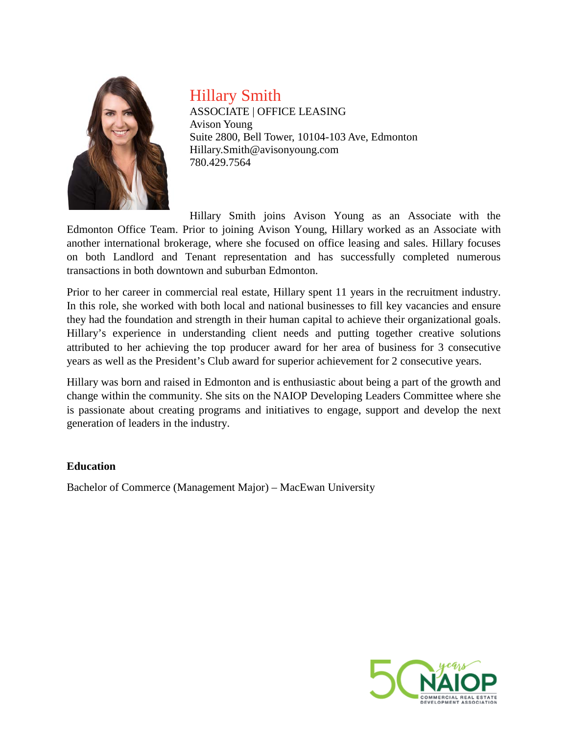

Hillary Smith

ASSOCIATE | OFFICE LEASING Avison Young Suite 2800, Bell Tower, 10104-103 Ave, Edmonton Hillary.Smith@avisonyoung.com 780.429.7564

Hillary Smith joins Avison Young as an Associate with the Edmonton Office Team. Prior to joining Avison Young, Hillary worked as an Associate with another international brokerage, where she focused on office leasing and sales. Hillary focuses on both Landlord and Tenant representation and has successfully completed numerous transactions in both downtown and suburban Edmonton.

Prior to her career in commercial real estate, Hillary spent 11 years in the recruitment industry. In this role, she worked with both local and national businesses to fill key vacancies and ensure they had the foundation and strength in their human capital to achieve their organizational goals. Hillary's experience in understanding client needs and putting together creative solutions attributed to her achieving the top producer award for her area of business for 3 consecutive years as well as the President's Club award for superior achievement for 2 consecutive years.

Hillary was born and raised in Edmonton and is enthusiastic about being a part of the growth and change within the community. She sits on the NAIOP Developing Leaders Committee where she is passionate about creating programs and initiatives to engage, support and develop the next generation of leaders in the industry.

#### **Education**

Bachelor of Commerce (Management Major) – MacEwan University

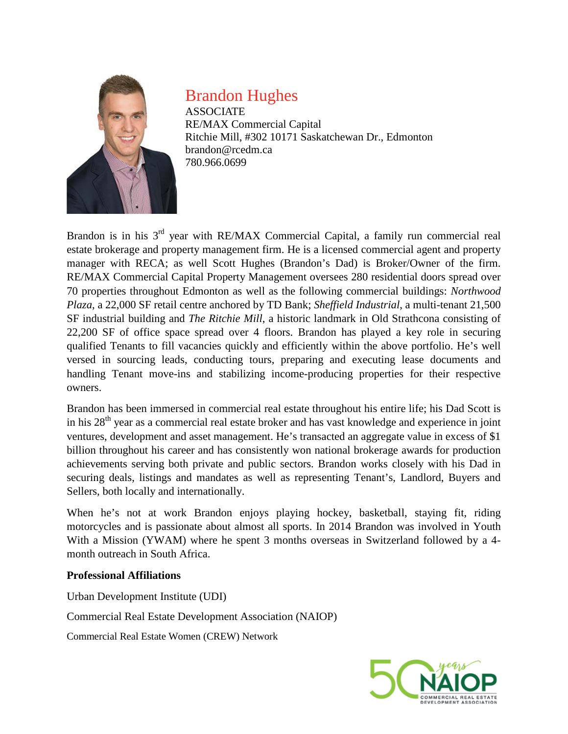

# Brandon Hughes

ASSOCIATE RE/MAX Commercial Capital Ritchie Mill, #302 10171 Saskatchewan Dr., Edmonton brandon@rcedm.ca 780.966.0699

Brandon is in his 3<sup>rd</sup> year with RE/MAX Commercial Capital, a family run commercial real estate brokerage and property management firm. He is a licensed commercial agent and property manager with RECA; as well Scott Hughes (Brandon's Dad) is Broker/Owner of the firm. RE/MAX Commercial Capital Property Management oversees 280 residential doors spread over 70 properties throughout Edmonton as well as the following commercial buildings: *Northwood Plaza*, a 22,000 SF retail centre anchored by TD Bank; *Sheffield Industrial*, a multi-tenant 21,500 SF industrial building and *The Ritchie Mill*, a historic landmark in Old Strathcona consisting of 22,200 SF of office space spread over 4 floors. Brandon has played a key role in securing qualified Tenants to fill vacancies quickly and efficiently within the above portfolio. He's well versed in sourcing leads, conducting tours, preparing and executing lease documents and handling Tenant move-ins and stabilizing income-producing properties for their respective owners.

Brandon has been immersed in commercial real estate throughout his entire life; his Dad Scott is in his 28<sup>th</sup> year as a commercial real estate broker and has vast knowledge and experience in joint ventures, development and asset management. He's transacted an aggregate value in excess of \$1 billion throughout his career and has consistently won national brokerage awards for production achievements serving both private and public sectors. Brandon works closely with his Dad in securing deals, listings and mandates as well as representing Tenant's, Landlord, Buyers and Sellers, both locally and internationally.

When he's not at work Brandon enjoys playing hockey, basketball, staying fit, riding motorcycles and is passionate about almost all sports. In 2014 Brandon was involved in Youth With a Mission (YWAM) where he spent 3 months overseas in Switzerland followed by a 4 month outreach in South Africa.

#### **Professional Affiliations**

Urban Development Institute (UDI)

Commercial Real Estate Development Association (NAIOP)

Commercial Real Estate Women (CREW) Network

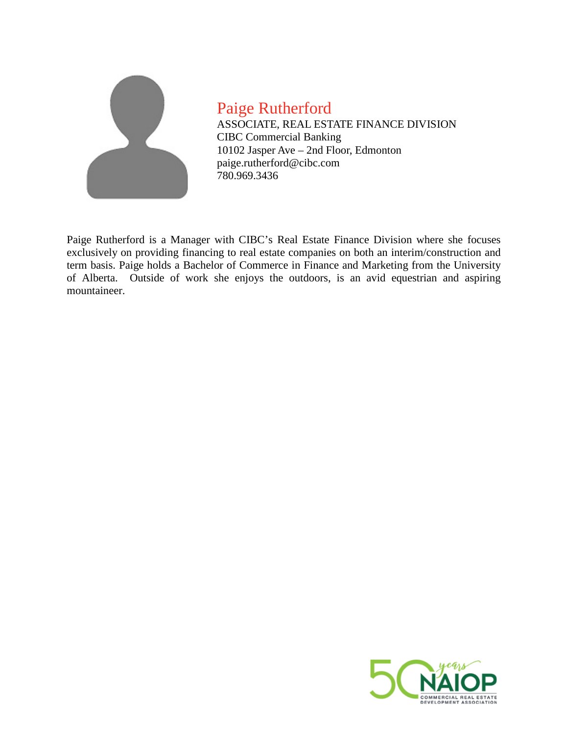

Paige Rutherford ASSOCIATE, REAL ESTATE FINANCE DIVISION CIBC Commercial Banking 10102 Jasper Ave – 2nd Floor, Edmonton paige.rutherford@cibc.com 780.969.3436

Paige Rutherford is a Manager with CIBC's Real Estate Finance Division where she focuses exclusively on providing financing to real estate companies on both an interim/construction and term basis. Paige holds a Bachelor of Commerce in Finance and Marketing from the University of Alberta. Outside of work she enjoys the outdoors, is an avid equestrian and aspiring mountaineer.